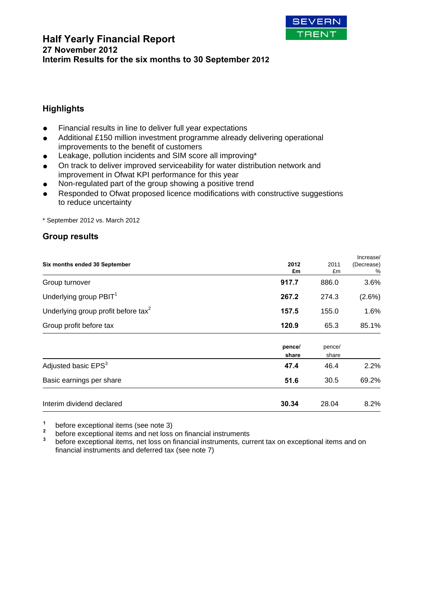

# **Half Yearly Financial Report 27 November 2012 Interim Results for the six months to 30 September 2012**

# **Highlights**

- **●** Financial results in line to deliver full year expectations
- **●** Additional £150 million investment programme already delivering operational improvements to the benefit of customers
- **●** Leakage, pollution incidents and SIM score all improving\*
- On track to deliver improved serviceability for water distribution network and improvement in Ofwat KPI performance for this year
- **●** Non-regulated part of the group showing a positive trend
- Responded to Ofwat proposed licence modifications with constructive suggestions to reduce uncertainty

\* September 2012 vs. March 2012

# **Group results**

|                                                 |        |        | Increase/  |
|-------------------------------------------------|--------|--------|------------|
| Six months ended 30 September                   | 2012   | 2011   | (Decrease) |
|                                                 | £m     | £m     | %          |
| Group turnover                                  | 917.7  | 886.0  | 3.6%       |
| Underlying group PBIT <sup>1</sup>              | 267.2  | 274.3  | (2.6%)     |
| Underlying group profit before tax <sup>2</sup> | 157.5  | 155.0  | 1.6%       |
| Group profit before tax                         | 120.9  | 65.3   | 85.1%      |
|                                                 | pence/ | pence/ |            |
|                                                 | share  | share  |            |
| Adjusted basic EPS <sup>3</sup>                 | 47.4   | 46.4   | 2.2%       |
| Basic earnings per share                        | 51.6   | 30.5   | 69.2%      |
| Interim dividend declared                       | 30.34  | 28.04  | 8.2%       |

**1**  $\frac{1}{2}$  before exceptional items (see note 3)

**<sup>2</sup>**before exceptional items and net loss on financial instruments **<sup>3</sup>**

 before exceptional items, net loss on financial instruments, current tax on exceptional items and on financial instruments and deferred tax (see note 7)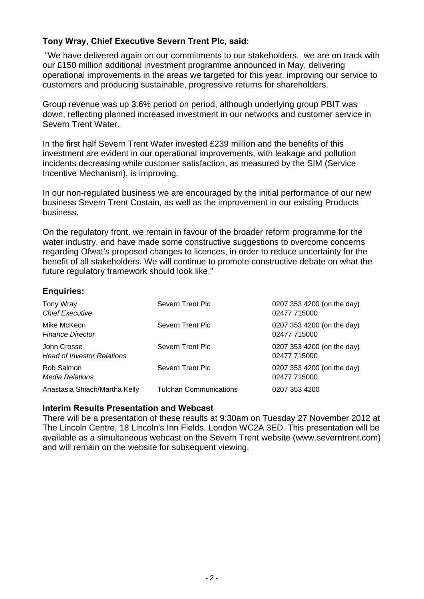# **Tony Wray, Chief Executive Severn Trent Plc, said:**

 "We have delivered again on our commitments to our stakeholders, we are on track with our £150 million additional investment programme announced in May, delivering operational improvements in the areas we targeted for this year, improving our service to customers and producing sustainable, progressive returns for shareholders.

Group revenue was up 3.6% period on period, although underlying group PBIT was down, reflecting planned increased investment in our networks and customer service in Severn Trent Water.

In the first half Severn Trent Water invested £239 million and the benefits of this investment are evident in our operational improvements, with leakage and pollution incidents decreasing while customer satisfaction, as measured by the SIM (Service Incentive Mechanism), is improving.

In our non-regulated business we are encouraged by the initial performance of our new business Severn Trent Costain, as well as the improvement in our existing Products business.

On the regulatory front, we remain in favour of the broader reform programme for the water industry, and have made some constructive suggestions to overcome concerns regarding Ofwat's proposed changes to licences, in order to reduce uncertainty for the benefit of all stakeholders. We will continue to promote constructive debate on what the future regulatory framework should look like."

# **Enquiries:**

| Tony Wray<br><b>Chief Executive</b>              | Severn Trent Plc              | 0207 353 4200 (on the day)<br>02477 715000 |
|--------------------------------------------------|-------------------------------|--------------------------------------------|
| Mike McKeon<br><b>Finance Director</b>           | Severn Trent Plc              | 0207 353 4200 (on the day)<br>02477 715000 |
| John Crosse<br><b>Head of Investor Relations</b> | Severn Trent Plc              | 0207 353 4200 (on the day)<br>02477 715000 |
| Rob Salmon<br><b>Media Relations</b>             | Severn Trent Plc              | 0207 353 4200 (on the day)<br>02477 715000 |
| Anastasia Shiach/Martha Kelly                    | <b>Tulchan Communications</b> | 0207 353 4200                              |

## **Interim Results Presentation and Webcast**

There will be a presentation of these results at 9:30am on Tuesday 27 November 2012 at The Lincoln Centre, 18 Lincoln's Inn Fields, London WC2A 3ED. This presentation will be available as a simultaneous webcast on the Severn Trent website (www.severntrent.com) and will remain on the website for subsequent viewing.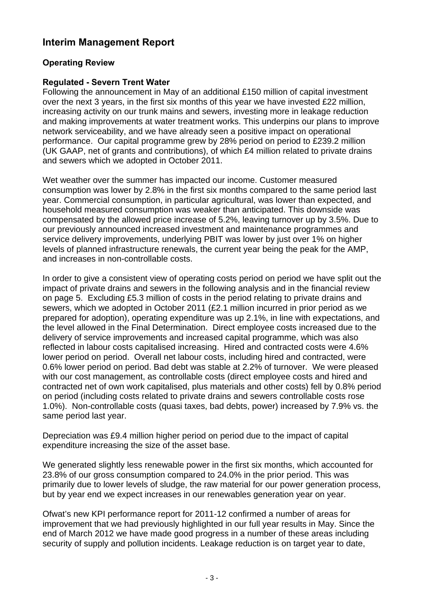# **Interim Management Report**

# **Operating Review**

# **Regulated - Severn Trent Water**

Following the announcement in May of an additional £150 million of capital investment over the next 3 years, in the first six months of this year we have invested £22 million, increasing activity on our trunk mains and sewers, investing more in leakage reduction and making improvements at water treatment works. This underpins our plans to improve network serviceability, and we have already seen a positive impact on operational performance. Our capital programme grew by 28% period on period to £239.2 million (UK GAAP, net of grants and contributions), of which £4 million related to private drains and sewers which we adopted in October 2011.

Wet weather over the summer has impacted our income. Customer measured consumption was lower by 2.8% in the first six months compared to the same period last year. Commercial consumption, in particular agricultural, was lower than expected, and household measured consumption was weaker than anticipated. This downside was compensated by the allowed price increase of 5.2%, leaving turnover up by 3.5%. Due to our previously announced increased investment and maintenance programmes and service delivery improvements, underlying PBIT was lower by just over 1% on higher levels of planned infrastructure renewals, the current year being the peak for the AMP, and increases in non-controllable costs.

In order to give a consistent view of operating costs period on period we have split out the impact of private drains and sewers in the following analysis and in the financial review on page 5. Excluding £5.3 million of costs in the period relating to private drains and sewers, which we adopted in October 2011 (£2.1 million incurred in prior period as we prepared for adoption), operating expenditure was up 2.1%, in line with expectations, and the level allowed in the Final Determination. Direct employee costs increased due to the delivery of service improvements and increased capital programme, which was also reflected in labour costs capitalised increasing. Hired and contracted costs were 4.6% lower period on period. Overall net labour costs, including hired and contracted, were 0.6% lower period on period. Bad debt was stable at 2.2% of turnover. We were pleased with our cost management, as controllable costs (direct employee costs and hired and contracted net of own work capitalised, plus materials and other costs) fell by 0.8% period on period (including costs related to private drains and sewers controllable costs rose 1.0%). Non-controllable costs (quasi taxes, bad debts, power) increased by 7.9% vs. the same period last year.

Depreciation was £9.4 million higher period on period due to the impact of capital expenditure increasing the size of the asset base.

We generated slightly less renewable power in the first six months, which accounted for 23.8% of our gross consumption compared to 24.0% in the prior period. This was primarily due to lower levels of sludge, the raw material for our power generation process, but by year end we expect increases in our renewables generation year on year.

Ofwat's new KPI performance report for 2011-12 confirmed a number of areas for improvement that we had previously highlighted in our full year results in May. Since the end of March 2012 we have made good progress in a number of these areas including security of supply and pollution incidents. Leakage reduction is on target year to date,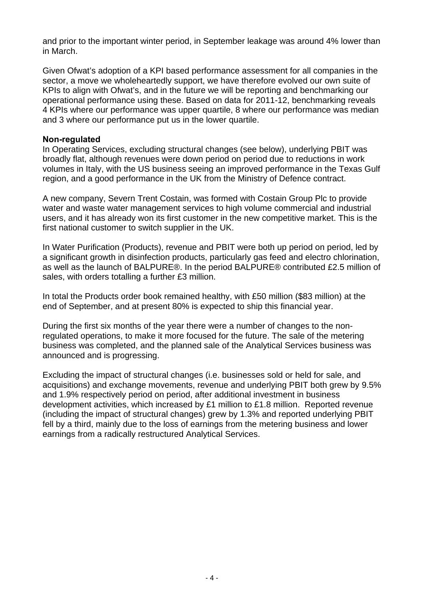and prior to the important winter period, in September leakage was around 4% lower than in March.

Given Ofwat's adoption of a KPI based performance assessment for all companies in the sector, a move we wholeheartedly support, we have therefore evolved our own suite of KPIs to align with Ofwat's, and in the future we will be reporting and benchmarking our operational performance using these. Based on data for 2011-12, benchmarking reveals 4 KPIs where our performance was upper quartile, 8 where our performance was median and 3 where our performance put us in the lower quartile.

## **Non-regulated**

In Operating Services, excluding structural changes (see below), underlying PBIT was broadly flat, although revenues were down period on period due to reductions in work volumes in Italy, with the US business seeing an improved performance in the Texas Gulf region, and a good performance in the UK from the Ministry of Defence contract.

A new company, Severn Trent Costain, was formed with Costain Group Plc to provide water and waste water management services to high volume commercial and industrial users, and it has already won its first customer in the new competitive market. This is the first national customer to switch supplier in the UK.

In Water Purification (Products), revenue and PBIT were both up period on period, led by a significant growth in disinfection products, particularly gas feed and electro chlorination, as well as the launch of BALPURE®. In the period BALPURE® contributed £2.5 million of sales, with orders totalling a further £3 million.

In total the Products order book remained healthy, with £50 million (\$83 million) at the end of September, and at present 80% is expected to ship this financial year.

During the first six months of the year there were a number of changes to the nonregulated operations, to make it more focused for the future. The sale of the metering business was completed, and the planned sale of the Analytical Services business was announced and is progressing.

Excluding the impact of structural changes (i.e. businesses sold or held for sale, and acquisitions) and exchange movements, revenue and underlying PBIT both grew by 9.5% and 1.9% respectively period on period, after additional investment in business development activities, which increased by £1 million to £1.8 million. Reported revenue (including the impact of structural changes) grew by 1.3% and reported underlying PBIT fell by a third, mainly due to the loss of earnings from the metering business and lower earnings from a radically restructured Analytical Services.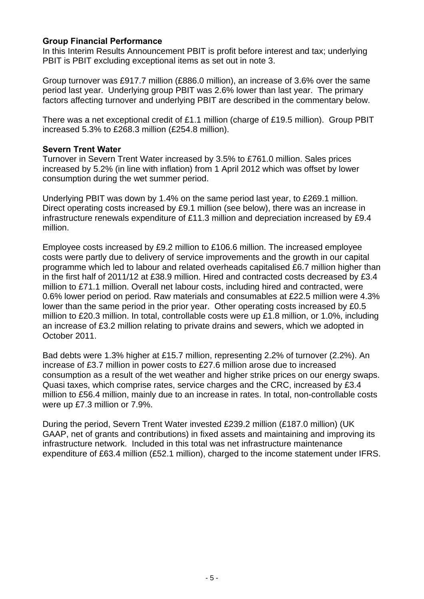## **Group Financial Performance**

In this Interim Results Announcement PBIT is profit before interest and tax; underlying PBIT is PBIT excluding exceptional items as set out in note 3.

Group turnover was £917.7 million (£886.0 million), an increase of 3.6% over the same period last year. Underlying group PBIT was 2.6% lower than last year. The primary factors affecting turnover and underlying PBIT are described in the commentary below.

There was a net exceptional credit of £1.1 million (charge of £19.5 million). Group PBIT increased 5.3% to £268.3 million (£254.8 million).

## **Severn Trent Water**

Turnover in Severn Trent Water increased by 3.5% to £761.0 million. Sales prices increased by 5.2% (in line with inflation) from 1 April 2012 which was offset by lower consumption during the wet summer period.

Underlying PBIT was down by 1.4% on the same period last year, to £269.1 million. Direct operating costs increased by £9.1 million (see below), there was an increase in infrastructure renewals expenditure of £11.3 million and depreciation increased by £9.4 million.

Employee costs increased by £9.2 million to £106.6 million. The increased employee costs were partly due to delivery of service improvements and the growth in our capital programme which led to labour and related overheads capitalised £6.7 million higher than in the first half of 2011/12 at £38.9 million. Hired and contracted costs decreased by £3.4 million to £71.1 million. Overall net labour costs, including hired and contracted, were 0.6% lower period on period. Raw materials and consumables at £22.5 million were 4.3% lower than the same period in the prior year. Other operating costs increased by £0.5 million to £20.3 million. In total, controllable costs were up £1.8 million, or 1.0%, including an increase of £3.2 million relating to private drains and sewers, which we adopted in October 2011.

Bad debts were 1.3% higher at £15.7 million, representing 2.2% of turnover (2.2%). An increase of £3.7 million in power costs to £27.6 million arose due to increased consumption as a result of the wet weather and higher strike prices on our energy swaps. Quasi taxes, which comprise rates, service charges and the CRC, increased by £3.4 million to £56.4 million, mainly due to an increase in rates. In total, non-controllable costs were up £7.3 million or 7.9%.

During the period, Severn Trent Water invested £239.2 million (£187.0 million) (UK GAAP, net of grants and contributions) in fixed assets and maintaining and improving its infrastructure network. Included in this total was net infrastructure maintenance expenditure of £63.4 million (£52.1 million), charged to the income statement under IFRS.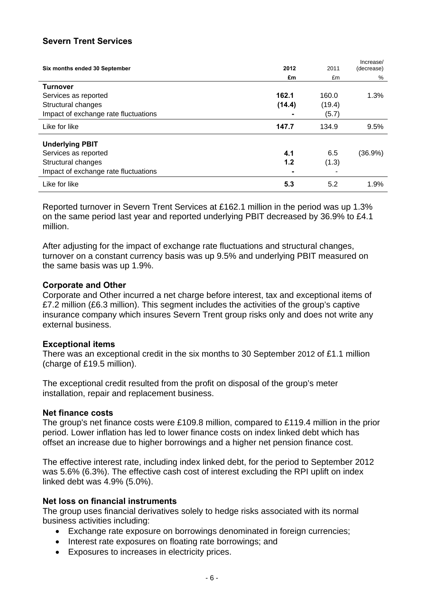# **Severn Trent Services**

|                                      |                |        | Increase/  |
|--------------------------------------|----------------|--------|------------|
| Six months ended 30 September        | 2012           | 2011   | (decrease) |
|                                      | £m             | £m     | %          |
| <b>Turnover</b>                      |                |        |            |
| Services as reported                 | 162.1          | 160.0  | 1.3%       |
| Structural changes                   | (14.4)         | (19.4) |            |
| Impact of exchange rate fluctuations | ۰              | (5.7)  |            |
| Like for like                        | 147.7          | 134.9  | 9.5%       |
| <b>Underlying PBIT</b>               |                |        |            |
| Services as reported                 | 4.1            | 6.5    | (36.9%)    |
| Structural changes                   | 1.2            | (1.3)  |            |
| Impact of exchange rate fluctuations | $\blacksquare$ |        |            |
| Like for like                        | 5.3            | 5.2    | 1.9%       |

Reported turnover in Severn Trent Services at £162.1 million in the period was up 1.3% on the same period last year and reported underlying PBIT decreased by 36.9% to £4.1 million.

After adjusting for the impact of exchange rate fluctuations and structural changes, turnover on a constant currency basis was up 9.5% and underlying PBIT measured on the same basis was up 1.9%.

## **Corporate and Other**

Corporate and Other incurred a net charge before interest, tax and exceptional items of £7.2 million (£6.3 million). This segment includes the activities of the group's captive insurance company which insures Severn Trent group risks only and does not write any external business.

## **Exceptional items**

There was an exceptional credit in the six months to 30 September 2012 of £1.1 million (charge of £19.5 million).

The exceptional credit resulted from the profit on disposal of the group's meter installation, repair and replacement business.

## **Net finance costs**

The group's net finance costs were £109.8 million, compared to £119.4 million in the prior period. Lower inflation has led to lower finance costs on index linked debt which has offset an increase due to higher borrowings and a higher net pension finance cost.

The effective interest rate, including index linked debt, for the period to September 2012 was 5.6% (6.3%). The effective cash cost of interest excluding the RPI uplift on index linked debt was 4.9% (5.0%).

## **Net loss on financial instruments**

The group uses financial derivatives solely to hedge risks associated with its normal business activities including:

- Exchange rate exposure on borrowings denominated in foreign currencies;
- Interest rate exposures on floating rate borrowings; and
- Exposures to increases in electricity prices.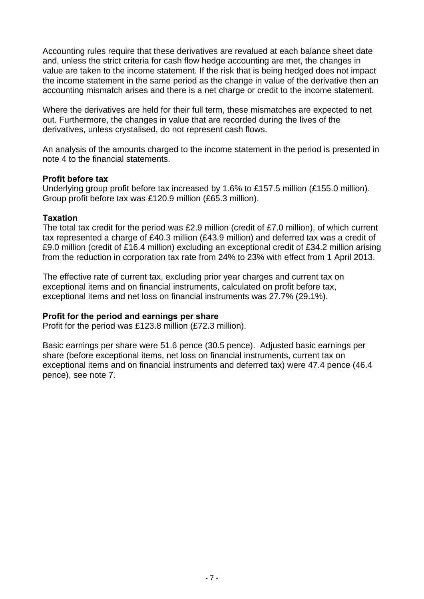Accounting rules require that these derivatives are revalued at each balance sheet date and, unless the strict criteria for cash flow hedge accounting are met, the changes in value are taken to the income statement. If the risk that is being hedged does not impact the income statement in the same period as the change in value of the derivative then an accounting mismatch arises and there is a net charge or credit to the income statement.

Where the derivatives are held for their full term, these mismatches are expected to net out. Furthermore, the changes in value that are recorded during the lives of the derivatives, unless crystalised, do not represent cash flows.

An analysis of the amounts charged to the income statement in the period is presented in note 4 to the financial statements.

### **Profit before tax**

Underlying group profit before tax increased by 1.6% to £157.5 million (£155.0 million). Group profit before tax was £120.9 million (£65.3 million).

### **Taxation**

The total tax credit for the period was £2.9 million (credit of £7.0 million), of which current tax represented a charge of £40.3 million (£43.9 million) and deferred tax was a credit of £9.0 million (credit of £16.4 million) excluding an exceptional credit of £34.2 million arising from the reduction in corporation tax rate from 24% to 23% with effect from 1 April 2013.

The effective rate of current tax, excluding prior year charges and current tax on exceptional items and on financial instruments, calculated on profit before tax, exceptional items and net loss on financial instruments was 27.7% (29.1%).

## **Profit for the period and earnings per share**

Profit for the period was £123.8 million (£72.3 million).

Basic earnings per share were 51.6 pence (30.5 pence). Adjusted basic earnings per share (before exceptional items, net loss on financial instruments, current tax on exceptional items and on financial instruments and deferred tax) were 47.4 pence (46.4 pence), see note 7.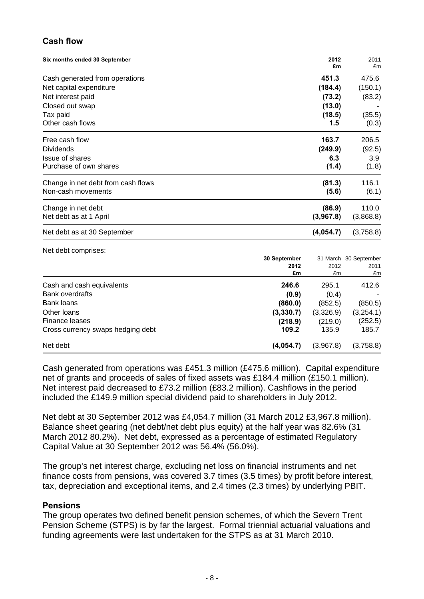# **Cash flow**

| Six months ended 30 September      | 2012      | 2011      |
|------------------------------------|-----------|-----------|
|                                    | £m        | £m        |
| Cash generated from operations     | 451.3     | 475.6     |
| Net capital expenditure            | (184.4)   | (150.1)   |
| Net interest paid                  | (73.2)    | (83.2)    |
| Closed out swap                    | (13.0)    |           |
| Tax paid                           | (18.5)    | (35.5)    |
| Other cash flows                   | 1.5       | (0.3)     |
| Free cash flow                     | 163.7     | 206.5     |
| <b>Dividends</b>                   | (249.9)   | (92.5)    |
| <b>Issue of shares</b>             | 6.3       | 3.9       |
| Purchase of own shares             | (1.4)     | (1.8)     |
| Change in net debt from cash flows | (81.3)    | 116.1     |
| Non-cash movements                 | (5.6)     | (6.1)     |
| Change in net debt                 | (86.9)    | 110.0     |
| Net debt as at 1 April             | (3,967.8) | (3,868.8) |
| Net debt as at 30 September        | (4,054.7) | (3,758.8) |

Net debt comprises:

|                                   | 30 September<br>2012<br>£m | 2012<br>£m | 31 March 30 September<br>2011<br>£m |
|-----------------------------------|----------------------------|------------|-------------------------------------|
| Cash and cash equivalents         | 246.6                      | 295.1      | 412.6                               |
| <b>Bank overdrafts</b>            | (0.9)                      | (0.4)      |                                     |
| Bank loans                        | (860.0)                    | (852.5)    | (850.5)                             |
| Other loans                       | (3,330.7)                  | (3,326.9)  | (3,254.1)                           |
| Finance leases                    | (218.9)                    | (219.0)    | (252.5)                             |
| Cross currency swaps hedging debt | 109.2                      | 135.9      | 185.7                               |
| Net debt                          | (4,054.7)                  | (3,967.8)  | (3,758.8)                           |

Cash generated from operations was £451.3 million (£475.6 million). Capital expenditure net of grants and proceeds of sales of fixed assets was £184.4 million (£150.1 million). Net interest paid decreased to £73.2 million (£83.2 million). Cashflows in the period included the £149.9 million special dividend paid to shareholders in July 2012.

Net debt at 30 September 2012 was £4,054.7 million (31 March 2012 £3,967.8 million). Balance sheet gearing (net debt/net debt plus equity) at the half year was 82.6% (31 March 2012 80.2%). Net debt, expressed as a percentage of estimated Regulatory Capital Value at 30 September 2012 was 56.4% (56.0%).

The group's net interest charge, excluding net loss on financial instruments and net finance costs from pensions, was covered 3.7 times (3.5 times) by profit before interest, tax, depreciation and exceptional items, and 2.4 times (2.3 times) by underlying PBIT.

## **Pensions**

The group operates two defined benefit pension schemes, of which the Severn Trent Pension Scheme (STPS) is by far the largest. Formal triennial actuarial valuations and funding agreements were last undertaken for the STPS as at 31 March 2010.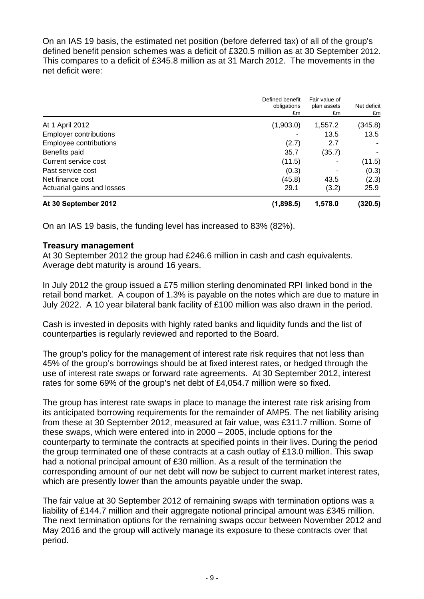On an IAS 19 basis, the estimated net position (before deferred tax) of all of the group's defined benefit pension schemes was a deficit of £320.5 million as at 30 September 2012. This compares to a deficit of £345.8 million as at 31 March 2012. The movements in the net deficit were:

|                               | Defined benefit<br>obligations<br>£m | Fair value of<br>plan assets<br>£m | Net deficit<br>£m |
|-------------------------------|--------------------------------------|------------------------------------|-------------------|
| At 1 April 2012               | (1,903.0)                            | 1,557.2                            | (345.8)           |
| <b>Employer contributions</b> |                                      | 13.5                               | 13.5              |
| Employee contributions        | (2.7)                                | 2.7                                |                   |
| Benefits paid                 | 35.7                                 | (35.7)                             |                   |
| Current service cost          | (11.5)                               |                                    | (11.5)            |
| Past service cost             | (0.3)                                |                                    | (0.3)             |
| Net finance cost              | (45.8)                               | 43.5                               | (2.3)             |
| Actuarial gains and losses    | 29.1                                 | (3.2)                              | 25.9              |
| At 30 September 2012          | (1,898.5)                            | 1,578.0                            | (320.5)           |

On an IAS 19 basis, the funding level has increased to 83% (82%).

### **Treasury management**

At 30 September 2012 the group had £246.6 million in cash and cash equivalents. Average debt maturity is around 16 years.

In July 2012 the group issued a £75 million sterling denominated RPI linked bond in the retail bond market. A coupon of 1.3% is payable on the notes which are due to mature in July 2022. A 10 year bilateral bank facility of £100 million was also drawn in the period.

Cash is invested in deposits with highly rated banks and liquidity funds and the list of counterparties is regularly reviewed and reported to the Board.

The group's policy for the management of interest rate risk requires that not less than 45% of the group's borrowings should be at fixed interest rates, or hedged through the use of interest rate swaps or forward rate agreements. At 30 September 2012, interest rates for some 69% of the group's net debt of £4,054.7 million were so fixed.

The group has interest rate swaps in place to manage the interest rate risk arising from its anticipated borrowing requirements for the remainder of AMP5. The net liability arising from these at 30 September 2012, measured at fair value, was £311.7 million. Some of these swaps, which were entered into in 2000 – 2005, include options for the counterparty to terminate the contracts at specified points in their lives. During the period the group terminated one of these contracts at a cash outlay of £13.0 million. This swap had a notional principal amount of £30 million. As a result of the termination the corresponding amount of our net debt will now be subject to current market interest rates, which are presently lower than the amounts payable under the swap.

The fair value at 30 September 2012 of remaining swaps with termination options was a liability of £144.7 million and their aggregate notional principal amount was £345 million. The next termination options for the remaining swaps occur between November 2012 and May 2016 and the group will actively manage its exposure to these contracts over that period.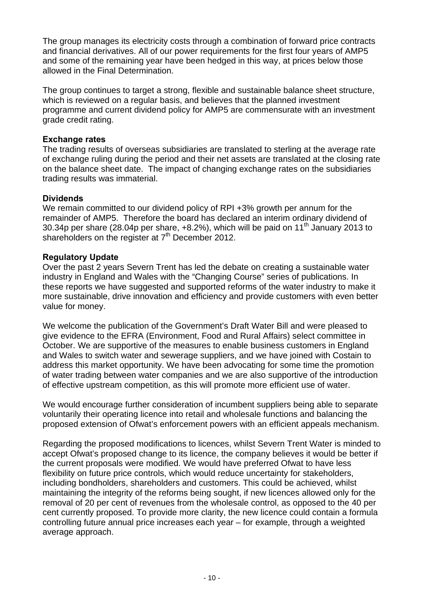The group manages its electricity costs through a combination of forward price contracts and financial derivatives. All of our power requirements for the first four years of AMP5 and some of the remaining year have been hedged in this way, at prices below those allowed in the Final Determination.

The group continues to target a strong, flexible and sustainable balance sheet structure, which is reviewed on a regular basis, and believes that the planned investment programme and current dividend policy for AMP5 are commensurate with an investment grade credit rating.

# **Exchange rates**

The trading results of overseas subsidiaries are translated to sterling at the average rate of exchange ruling during the period and their net assets are translated at the closing rate on the balance sheet date. The impact of changing exchange rates on the subsidiaries trading results was immaterial.

# **Dividends**

We remain committed to our dividend policy of RPI +3% growth per annum for the remainder of AMP5. Therefore the board has declared an interim ordinary dividend of 30.34p per share (28.04p per share,  $+8.2\%$ ), which will be paid on 11<sup>th</sup> January 2013 to shareholders on the register at 7<sup>th</sup> December 2012.

# **Regulatory Update**

Over the past 2 years Severn Trent has led the debate on creating a sustainable water industry in England and Wales with the "Changing Course" series of publications. In these reports we have suggested and supported reforms of the water industry to make it more sustainable, drive innovation and efficiency and provide customers with even better value for money.

We welcome the publication of the Government's Draft Water Bill and were pleased to give evidence to the EFRA (Environment, Food and Rural Affairs) select committee in October. We are supportive of the measures to enable business customers in England and Wales to switch water and sewerage suppliers, and we have joined with Costain to address this market opportunity. We have been advocating for some time the promotion of water trading between water companies and we are also supportive of the introduction of effective upstream competition, as this will promote more efficient use of water.

We would encourage further consideration of incumbent suppliers being able to separate voluntarily their operating licence into retail and wholesale functions and balancing the proposed extension of Ofwat's enforcement powers with an efficient appeals mechanism.

Regarding the proposed modifications to licences, whilst Severn Trent Water is minded to accept Ofwat's proposed change to its licence, the company believes it would be better if the current proposals were modified. We would have preferred Ofwat to have less flexibility on future price controls, which would reduce uncertainty for stakeholders, including bondholders, shareholders and customers. This could be achieved, whilst maintaining the integrity of the reforms being sought, if new licences allowed only for the removal of 20 per cent of revenues from the wholesale control, as opposed to the 40 per cent currently proposed. To provide more clarity, the new licence could contain a formula controlling future annual price increases each year – for example, through a weighted average approach.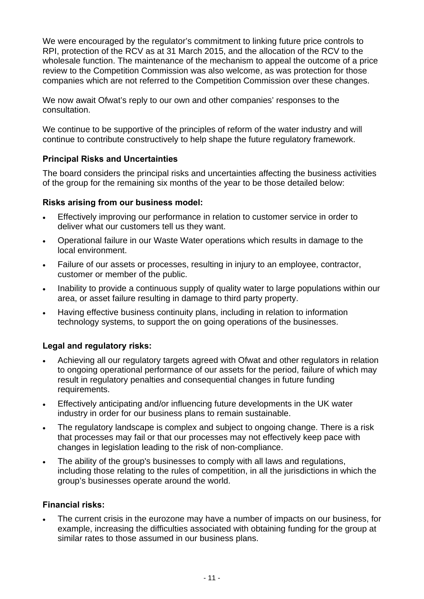We were encouraged by the regulator's commitment to linking future price controls to RPI, protection of the RCV as at 31 March 2015, and the allocation of the RCV to the wholesale function. The maintenance of the mechanism to appeal the outcome of a price review to the Competition Commission was also welcome, as was protection for those companies which are not referred to the Competition Commission over these changes.

We now await Ofwat's reply to our own and other companies' responses to the consultation.

We continue to be supportive of the principles of reform of the water industry and will continue to contribute constructively to help shape the future regulatory framework.

# **Principal Risks and Uncertainties**

The board considers the principal risks and uncertainties affecting the business activities of the group for the remaining six months of the year to be those detailed below:

# **Risks arising from our business model:**

- Effectively improving our performance in relation to customer service in order to deliver what our customers tell us they want.
- Operational failure in our Waste Water operations which results in damage to the local environment.
- Failure of our assets or processes, resulting in injury to an employee, contractor, customer or member of the public.
- Inability to provide a continuous supply of quality water to large populations within our area, or asset failure resulting in damage to third party property.
- Having effective business continuity plans, including in relation to information technology systems, to support the on going operations of the businesses.

# **Legal and regulatory risks:**

- Achieving all our regulatory targets agreed with Ofwat and other regulators in relation to ongoing operational performance of our assets for the period, failure of which may result in regulatory penalties and consequential changes in future funding requirements.
- Effectively anticipating and/or influencing future developments in the UK water industry in order for our business plans to remain sustainable.
- The regulatory landscape is complex and subject to ongoing change. There is a risk that processes may fail or that our processes may not effectively keep pace with changes in legislation leading to the risk of non-compliance.
- The ability of the group's businesses to comply with all laws and regulations, including those relating to the rules of competition, in all the jurisdictions in which the group's businesses operate around the world.

## **Financial risks:**

 The current crisis in the eurozone may have a number of impacts on our business, for example, increasing the difficulties associated with obtaining funding for the group at similar rates to those assumed in our business plans.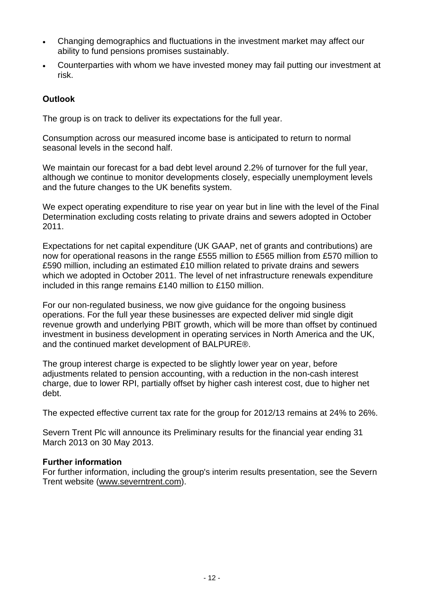- Changing demographics and fluctuations in the investment market may affect our ability to fund pensions promises sustainably.
- Counterparties with whom we have invested money may fail putting our investment at risk.

# **Outlook**

The group is on track to deliver its expectations for the full year.

Consumption across our measured income base is anticipated to return to normal seasonal levels in the second half.

We maintain our forecast for a bad debt level around 2.2% of turnover for the full year, although we continue to monitor developments closely, especially unemployment levels and the future changes to the UK benefits system.

We expect operating expenditure to rise year on year but in line with the level of the Final Determination excluding costs relating to private drains and sewers adopted in October 2011.

Expectations for net capital expenditure (UK GAAP, net of grants and contributions) are now for operational reasons in the range £555 million to £565 million from £570 million to £590 million, including an estimated £10 million related to private drains and sewers which we adopted in October 2011. The level of net infrastructure renewals expenditure included in this range remains £140 million to £150 million.

For our non-regulated business, we now give guidance for the ongoing business operations. For the full year these businesses are expected deliver mid single digit revenue growth and underlying PBIT growth, which will be more than offset by continued investment in business development in operating services in North America and the UK, and the continued market development of BALPURE®.

The group interest charge is expected to be slightly lower year on year, before adjustments related to pension accounting, with a reduction in the non-cash interest charge, due to lower RPI, partially offset by higher cash interest cost, due to higher net debt.

The expected effective current tax rate for the group for 2012/13 remains at 24% to 26%.

Severn Trent Plc will announce its Preliminary results for the financial year ending 31 March 2013 on 30 May 2013.

## **Further information**

For further information, including the group's interim results presentation, see the Severn Trent website (www.severntrent.com).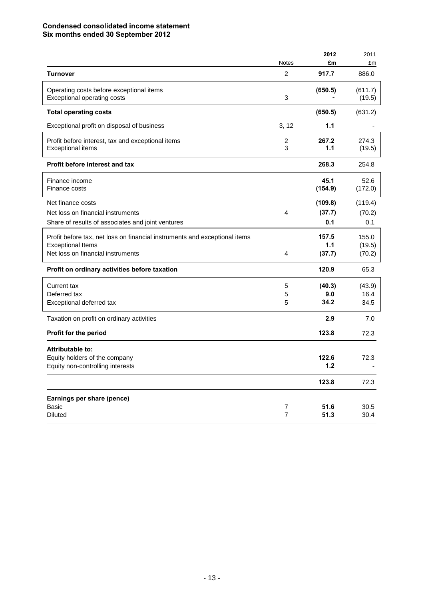#### **Condensed consolidated income statement Six months ended 30 September 2012**

|                                                                               | <b>Notes</b>   | 2012<br>£m      | 2011<br>£m        |
|-------------------------------------------------------------------------------|----------------|-----------------|-------------------|
| <b>Turnover</b>                                                               | $\overline{2}$ | 917.7           | 886.0             |
| Operating costs before exceptional items<br>Exceptional operating costs       | 3              | (650.5)         | (611.7)<br>(19.5) |
| <b>Total operating costs</b>                                                  |                | (650.5)         | (631.2)           |
| Exceptional profit on disposal of business                                    | 3, 12          | 1.1             |                   |
| Profit before interest, tax and exceptional items<br><b>Exceptional items</b> | 2<br>3         | 267.2<br>1.1    | 274.3<br>(19.5)   |
| <b>Profit before interest and tax</b>                                         |                | 268.3           | 254.8             |
| Finance income<br>Finance costs                                               |                | 45.1<br>(154.9) | 52.6<br>(172.0)   |
| Net finance costs                                                             |                | (109.8)         | (119.4)           |
| Net loss on financial instruments                                             | 4              | (37.7)          | (70.2)            |
| Share of results of associates and joint ventures                             |                | 0.1             | 0.1               |
| Profit before tax, net loss on financial instruments and exceptional items    |                | 157.5           | 155.0             |
| <b>Exceptional Items</b>                                                      |                | 1.1             | (19.5)            |
| Net loss on financial instruments                                             | 4              | (37.7)          | (70.2)            |
| Profit on ordinary activities before taxation                                 |                | 120.9           | 65.3              |
| Current tax                                                                   | 5              | (40.3)          | (43.9)            |
| Deferred tax                                                                  | 5              | 9.0             | 16.4              |
| Exceptional deferred tax                                                      | 5              | 34.2            | 34.5              |
| Taxation on profit on ordinary activities                                     |                | 2.9             | 7.0               |
| Profit for the period                                                         |                | 123.8           | 72.3              |
| Attributable to:                                                              |                |                 |                   |
| Equity holders of the company                                                 |                | 122.6           | 72.3              |
| Equity non-controlling interests                                              |                | 1.2             |                   |
|                                                                               |                | 123.8           | 72.3              |
| Earnings per share (pence)                                                    |                |                 |                   |
| Basic                                                                         | 7              | 51.6            | 30.5              |
| Diluted                                                                       | $\overline{7}$ | 51.3            | 30.4              |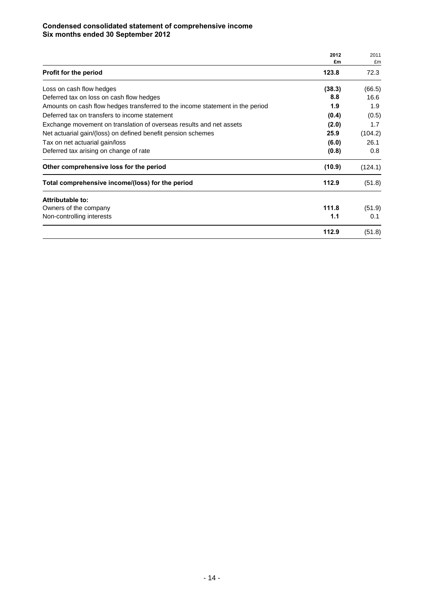#### **Condensed consolidated statement of comprehensive income Six months ended 30 September 2012**

|                                                                               | 2012<br>£m | 2011<br>£m |
|-------------------------------------------------------------------------------|------------|------------|
| <b>Profit for the period</b>                                                  | 123.8      | 72.3       |
| Loss on cash flow hedges                                                      | (38.3)     | (66.5)     |
| Deferred tax on loss on cash flow hedges                                      | 8.8        | 16.6       |
| Amounts on cash flow hedges transferred to the income statement in the period | 1.9        | 1.9        |
| Deferred tax on transfers to income statement                                 | (0.4)      | (0.5)      |
| Exchange movement on translation of overseas results and net assets           | (2.0)      | 1.7        |
| Net actuarial gain/(loss) on defined benefit pension schemes                  | 25.9       | (104.2)    |
| Tax on net actuarial gain/loss                                                | (6.0)      | 26.1       |
| Deferred tax arising on change of rate                                        | (0.8)      | 0.8        |
| Other comprehensive loss for the period                                       | (10.9)     | (124.1)    |
| Total comprehensive income/(loss) for the period                              | 112.9      | (51.8)     |
| Attributable to:                                                              |            |            |
| Owners of the company                                                         | 111.8      | (51.9)     |
| Non-controlling interests                                                     | 1.1        | 0.1        |
|                                                                               | 112.9      | (51.8)     |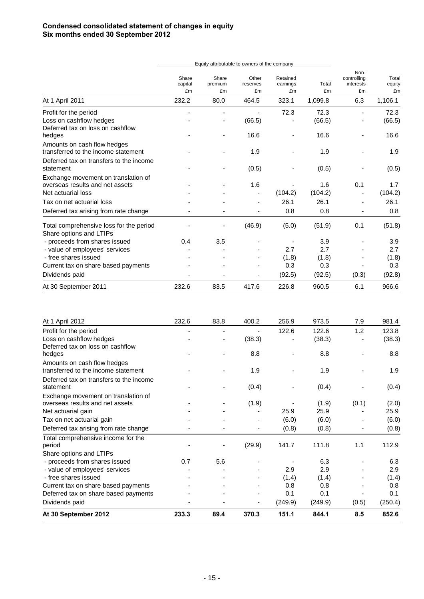Equity attributable to owners of the company

|                                                                                      | Share<br>capital<br>£m | Share<br>premium<br>£m | Other<br>reserves<br>£m      | Retained<br>earnings<br>£m | Total<br>£m    | Non-<br>controlling<br>interests<br>£m | Total<br>equity<br>£m |
|--------------------------------------------------------------------------------------|------------------------|------------------------|------------------------------|----------------------------|----------------|----------------------------------------|-----------------------|
| At 1 April 2011                                                                      | 232.2                  | 80.0                   | 464.5                        | 323.1                      | 1,099.8        | 6.3                                    | 1,106.1               |
| Profit for the period<br>Loss on cashflow hedges<br>Deferred tax on loss on cashflow | ÷,                     | ÷,                     | $\blacksquare$<br>(66.5)     | 72.3                       | 72.3<br>(66.5) | ä,                                     | 72.3<br>(66.5)        |
| hedges                                                                               |                        |                        | 16.6                         |                            | 16.6           |                                        | 16.6                  |
| Amounts on cash flow hedges<br>transferred to the income statement                   |                        |                        | 1.9                          |                            | 1.9            |                                        | 1.9                   |
| Deferred tax on transfers to the income<br>statement                                 |                        |                        | (0.5)                        |                            | (0.5)          |                                        | (0.5)                 |
| Exchange movement on translation of                                                  |                        |                        |                              |                            |                |                                        |                       |
| overseas results and net assets<br>Net actuarial loss                                |                        |                        | 1.6                          | (104.2)                    | 1.6<br>(104.2) | 0.1                                    | 1.7<br>(104.2)        |
|                                                                                      |                        |                        |                              |                            |                |                                        |                       |
| Tax on net actuarial loss                                                            |                        |                        | ٠                            | 26.1                       | 26.1           |                                        | 26.1                  |
| Deferred tax arising from rate change                                                |                        |                        |                              | 0.8                        | 0.8            |                                        | 0.8                   |
| Total comprehensive loss for the period<br>Share options and LTIPs                   |                        |                        | (46.9)                       | (5.0)                      | (51.9)         | 0.1                                    | (51.8)                |
| - proceeds from shares issued                                                        | 0.4                    | 3.5                    |                              |                            | 3.9            |                                        | 3.9                   |
| - value of employees' services                                                       |                        |                        |                              | 2.7                        | 2.7            |                                        | 2.7                   |
| - free shares issued                                                                 |                        |                        |                              | (1.8)                      | (1.8)          |                                        | (1.8)                 |
| Current tax on share based payments                                                  |                        |                        | $\overline{\phantom{0}}$     | 0.3                        | 0.3            |                                        | 0.3                   |
| Dividends paid                                                                       | Ē,                     |                        |                              | (92.5)                     | (92.5)         | (0.3)                                  | (92.8)                |
| At 30 September 2011                                                                 | 232.6                  | 83.5                   | 417.6                        | 226.8                      | 960.5          | 6.1                                    | 966.6                 |
| At 1 April 2012                                                                      | 232.6                  | 83.8                   | 400.2                        | 256.9                      | 973.5          | 7.9                                    | 981.4                 |
| Profit for the period                                                                |                        |                        | $\mathbf{r}$                 | 122.6                      | 122.6          | 1.2                                    | 123.8                 |
| Loss on cashflow hedges<br>Deferred tax on loss on cashflow<br>hedges                |                        | ٠                      | (38.3)<br>8.8                |                            | (38.3)<br>8.8  |                                        | (38.3)<br>8.8         |
| Amounts on cash flow hedges                                                          |                        |                        |                              |                            |                |                                        |                       |
| transferred to the income statement                                                  |                        |                        | 1.9                          |                            | 1.9            |                                        | 1.9                   |
| Deferred tax on transfers to the income<br>statement                                 |                        |                        | (0.4)                        |                            | (0.4)          |                                        | (0.4)                 |
| Exchange movement on translation of<br>overseas results and net assets               |                        |                        | (1.9)                        |                            | (1.9)          | (0.1)                                  | (2.0)                 |
| Net actuarial gain                                                                   |                        |                        |                              | 25.9                       | 25.9           |                                        | 25.9                  |
| Tax on net actuarial gain                                                            |                        |                        | ٠                            | (6.0)                      | (6.0)          |                                        | (6.0)                 |
| Deferred tax arising from rate change                                                |                        |                        | $\qquad \qquad \blacksquare$ | (0.8)                      | (0.8)          |                                        | (0.8)                 |
| Total comprehensive income for the<br>period                                         |                        | ÷,                     | (29.9)                       | 141.7                      | 111.8          | 1.1                                    | 112.9                 |
| Share options and LTIPs                                                              |                        |                        |                              |                            |                |                                        |                       |
| - proceeds from shares issued<br>- value of employees' services                      | 0.7                    | 5.6                    |                              |                            | 6.3            |                                        | 6.3                   |
| - free shares issued                                                                 |                        |                        |                              | 2.9<br>(1.4)               | 2.9<br>(1.4)   |                                        | 2.9<br>(1.4)          |
| Current tax on share based payments                                                  |                        |                        |                              | 0.8                        | 0.8            |                                        | 0.8                   |
| Deferred tax on share based payments                                                 |                        |                        |                              | 0.1                        | 0.1            |                                        | 0.1                   |
| Dividends paid                                                                       |                        |                        |                              | (249.9)                    | (249.9)        | (0.5)                                  | (250.4)               |
| At 30 September 2012                                                                 | 233.3                  | 89.4                   | 370.3                        | 151.1                      | 844.1          | 8.5                                    | 852.6                 |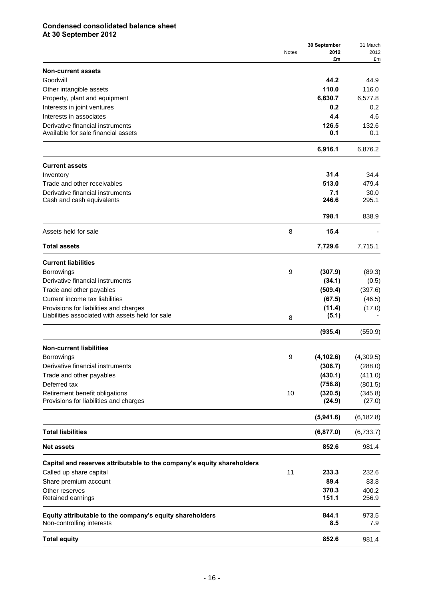#### **Condensed consolidated balance sheet At 30 September 2012**

|                                                                        |       | 30 September | 31 March   |
|------------------------------------------------------------------------|-------|--------------|------------|
|                                                                        | Notes | 2012         | 2012       |
|                                                                        |       | £m           | £m         |
| <b>Non-current assets</b>                                              |       |              |            |
| Goodwill                                                               |       | 44.2         | 44.9       |
| Other intangible assets                                                |       | 110.0        | 116.0      |
| Property, plant and equipment                                          |       | 6,630.7      | 6,577.8    |
| Interests in joint ventures                                            |       | 0.2          | 0.2        |
| Interests in associates                                                |       | 4.4          | 4.6        |
| Derivative financial instruments                                       |       | 126.5        | 132.6      |
| Available for sale financial assets                                    |       | 0.1          | 0.1        |
|                                                                        |       | 6,916.1      | 6,876.2    |
| <b>Current assets</b>                                                  |       |              |            |
| Inventory                                                              |       | 31.4         | 34.4       |
| Trade and other receivables                                            |       | 513.0        | 479.4      |
| Derivative financial instruments                                       |       | 7.1          | 30.0       |
| Cash and cash equivalents                                              |       | 246.6        | 295.1      |
|                                                                        |       | 798.1        | 838.9      |
| Assets held for sale                                                   | 8     | 15.4         |            |
| <b>Total assets</b>                                                    |       | 7,729.6      | 7,715.1    |
|                                                                        |       |              |            |
| <b>Current liabilities</b>                                             |       |              |            |
| <b>Borrowings</b>                                                      | 9     | (307.9)      | (89.3)     |
| Derivative financial instruments                                       |       | (34.1)       | (0.5)      |
| Trade and other payables                                               |       | (509.4)      | (397.6)    |
| Current income tax liabilities                                         |       | (67.5)       | (46.5)     |
| Provisions for liabilities and charges                                 |       | (11.4)       | (17.0)     |
| Liabilities associated with assets held for sale                       | 8     | (5.1)        |            |
|                                                                        |       | (935.4)      | (550.9)    |
| <b>Non-current liabilities</b>                                         |       |              |            |
| Borrowings                                                             | 9     | (4, 102.6)   | (4,309.5)  |
| Derivative financial instruments                                       |       | (306.7)      | (288.0)    |
| Trade and other payables                                               |       | (430.1)      | (411.0)    |
| Deferred tax                                                           |       | (756.8)      | (801.5)    |
| Retirement benefit obligations                                         | 10    | (320.5)      | (345.8)    |
| Provisions for liabilities and charges                                 |       | (24.9)       | (27.0)     |
|                                                                        |       | (5,941.6)    | (6, 182.8) |
| <b>Total liabilities</b>                                               |       | (6, 877.0)   | (6,733.7)  |
| <b>Net assets</b>                                                      |       | 852.6        | 981.4      |
| Capital and reserves attributable to the company's equity shareholders |       |              |            |
| Called up share capital                                                | 11    | 233.3        | 232.6      |
| Share premium account                                                  |       | 89.4         | 83.8       |
| Other reserves                                                         |       | 370.3        | 400.2      |
| Retained earnings                                                      |       | 151.1        | 256.9      |
| Equity attributable to the company's equity shareholders               |       | 844.1        | 973.5      |
| Non-controlling interests                                              |       | 8.5          | 7.9        |
| <b>Total equity</b>                                                    |       | 852.6        | 981.4      |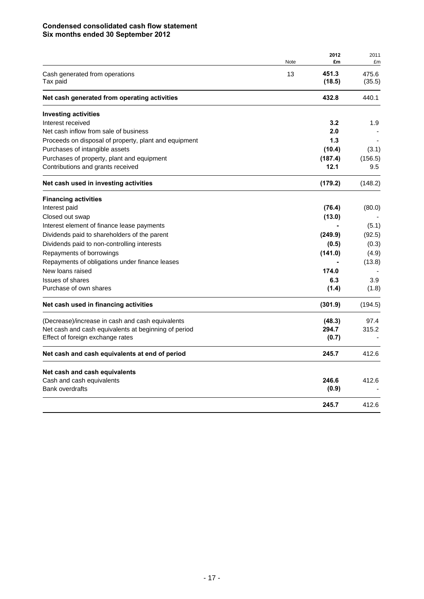#### **Condensed consolidated cash flow statement Six months ended 30 September 2012**

|                                                       | Note | 2012<br>£m      | 2011<br>£m      |
|-------------------------------------------------------|------|-----------------|-----------------|
| Cash generated from operations<br>Tax paid            | 13   | 451.3<br>(18.5) | 475.6<br>(35.5) |
| Net cash generated from operating activities          |      | 432.8           | 440.1           |
| <b>Investing activities</b>                           |      |                 |                 |
| Interest received                                     |      | 3.2             | 1.9             |
| Net cash inflow from sale of business                 |      | 2.0             |                 |
| Proceeds on disposal of property, plant and equipment |      | 1.3             |                 |
| Purchases of intangible assets                        |      | (10.4)          | (3.1)           |
| Purchases of property, plant and equipment            |      | (187.4)         | (156.5)         |
| Contributions and grants received                     |      | 12.1            | 9.5             |
| Net cash used in investing activities                 |      | (179.2)         | (148.2)         |
| <b>Financing activities</b>                           |      |                 |                 |
| Interest paid                                         |      | (76.4)          | (80.0)          |
| Closed out swap                                       |      | (13.0)          |                 |
| Interest element of finance lease payments            |      |                 | (5.1)           |
| Dividends paid to shareholders of the parent          |      | (249.9)         | (92.5)          |
| Dividends paid to non-controlling interests           |      | (0.5)           | (0.3)           |
| Repayments of borrowings                              |      | (141.0)         | (4.9)           |
| Repayments of obligations under finance leases        |      |                 | (13.8)          |
| New loans raised                                      |      | 174.0           |                 |
| <b>Issues of shares</b>                               |      | 6.3             | 3.9             |
| Purchase of own shares                                |      | (1.4)           | (1.8)           |
| Net cash used in financing activities                 |      | (301.9)         | (194.5)         |
| (Decrease)/increase in cash and cash equivalents      |      | (48.3)          | 97.4            |
| Net cash and cash equivalents at beginning of period  |      | 294.7           | 315.2           |
| Effect of foreign exchange rates                      |      | (0.7)           |                 |
| Net cash and cash equivalents at end of period        |      | 245.7           | 412.6           |
| Net cash and cash equivalents                         |      |                 |                 |
| Cash and cash equivalents                             |      | 246.6           | 412.6           |
| <b>Bank overdrafts</b>                                |      | (0.9)           |                 |
|                                                       |      | 245.7           | 412.6           |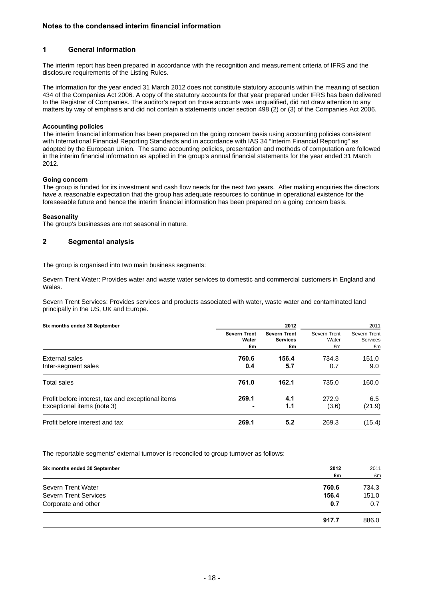### **1 General information**

The interim report has been prepared in accordance with the recognition and measurement criteria of IFRS and the disclosure requirements of the Listing Rules.

The information for the year ended 31 March 2012 does not constitute statutory accounts within the meaning of section 434 of the Companies Act 2006. A copy of the statutory accounts for that year prepared under IFRS has been delivered to the Registrar of Companies. The auditor's report on those accounts was unqualified, did not draw attention to any matters by way of emphasis and did not contain a statements under section 498 (2) or (3) of the Companies Act 2006.

#### **Accounting policies**

The interim financial information has been prepared on the going concern basis using accounting policies consistent with International Financial Reporting Standards and in accordance with IAS 34 "Interim Financial Reporting" as adopted by the European Union. The same accounting policies, presentation and methods of computation are followed in the interim financial information as applied in the group's annual financial statements for the year ended 31 March 2012.

#### **Going concern**

The group is funded for its investment and cash flow needs for the next two years. After making enquiries the directors have a reasonable expectation that the group has adequate resources to continue in operational existence for the foreseeable future and hence the interim financial information has been prepared on a going concern basis.

#### **Seasonality**

The group's businesses are not seasonal in nature.

### **2 Segmental analysis**

The group is organised into two main business segments:

Severn Trent Water: Provides water and waste water services to domestic and commercial customers in England and Wales.

Severn Trent Services: Provides services and products associated with water, waste water and contaminated land principally in the US, UK and Europe.

| Six months ended 30 September                     |                              | 2012                                   | 2011                  |                                 |  |
|---------------------------------------------------|------------------------------|----------------------------------------|-----------------------|---------------------------------|--|
|                                                   | <b>Severn Trent</b><br>Water | <b>Severn Trent</b><br><b>Services</b> | Severn Trent<br>Water | Severn Trent<br><b>Services</b> |  |
|                                                   | £m                           | £m                                     | £m                    | £m                              |  |
| External sales                                    | 760.6                        | 156.4                                  | 734.3                 | 151.0                           |  |
| Inter-segment sales                               | 0.4                          | 5.7                                    | 0.7                   | 9.0                             |  |
| Total sales                                       | 761.0                        | 162.1                                  | 735.0                 | 160.0                           |  |
| Profit before interest, tax and exceptional items | 269.1                        | 4.1                                    | 272.9                 | 6.5                             |  |
| Exceptional items (note 3)                        | -                            | 1.1                                    | (3.6)                 | (21.9)                          |  |
| Profit before interest and tax                    | 269.1                        | 5.2                                    | 269.3                 | (15.4)                          |  |

The reportable segments' external turnover is reconciled to group turnover as follows:

| Six months ended 30 September | 2012<br>£m | 2011<br>£m |
|-------------------------------|------------|------------|
| Severn Trent Water            | 760.6      | 734.3      |
| <b>Severn Trent Services</b>  | 156.4      | 151.0      |
| Corporate and other           | 0.7        | 0.7        |
|                               | 917.7      | 886.0      |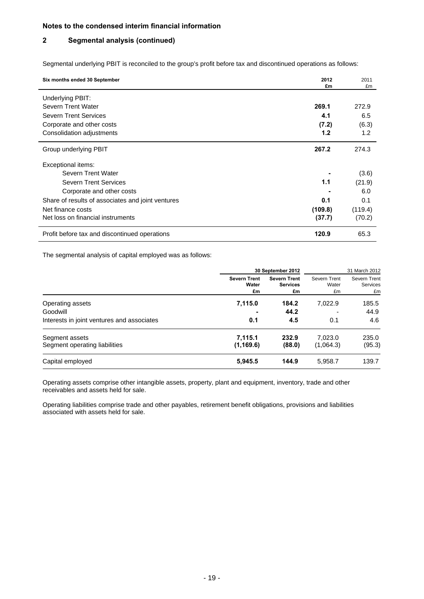### **2 Segmental analysis (continued)**

Segmental underlying PBIT is reconciled to the group's profit before tax and discontinued operations as follows:

| Six months ended 30 September                     | 2012<br>£m | 2011<br>£m |
|---------------------------------------------------|------------|------------|
| Underlying PBIT:                                  |            |            |
| Severn Trent Water                                | 269.1      | 272.9      |
| <b>Severn Trent Services</b>                      | 4.1        | 6.5        |
| Corporate and other costs                         | (7.2)      | (6.3)      |
| Consolidation adjustments                         | 1.2        | 1.2        |
| Group underlying PBIT                             | 267.2      | 274.3      |
| Exceptional items:                                |            |            |
| Severn Trent Water                                |            | (3.6)      |
| <b>Severn Trent Services</b>                      | 1.1        | (21.9)     |
| Corporate and other costs                         |            | 6.0        |
| Share of results of associates and joint ventures | 0.1        | 0.1        |
| Net finance costs                                 | (109.8)    | (119.4)    |
| Net loss on financial instruments                 | (37.7)     | (70.2)     |
| Profit before tax and discontinued operations     | 120.9      | 65.3       |

The segmental analysis of capital employed was as follows:

|                                                 | 30 September 2012                  |                                        |                       | 31 March 2012                   |
|-------------------------------------------------|------------------------------------|----------------------------------------|-----------------------|---------------------------------|
|                                                 | <b>Severn Trent</b><br>Water<br>£m | <b>Severn Trent</b><br><b>Services</b> | Severn Trent<br>Water | Severn Trent<br><b>Services</b> |
|                                                 |                                    | £m<br>£m                               |                       |                                 |
| Operating assets                                | 7,115.0                            | 184.2                                  | 7,022.9               | 185.5                           |
| Goodwill                                        |                                    | 44.2                                   |                       | 44.9                            |
| Interests in joint ventures and associates      | 0.1                                | 4.5                                    | 0.1                   | 4.6                             |
| Segment assets<br>Segment operating liabilities | 7,115.1<br>(1, 169.6)              | 232.9<br>(88.0)                        | 7,023.0<br>(1,064.3)  | 235.0<br>(95.3)                 |
| Capital employed                                | 5,945.5                            | 144.9                                  | 5,958.7               | 139.7                           |

Operating assets comprise other intangible assets, property, plant and equipment, inventory, trade and other receivables and assets held for sale.

Operating liabilities comprise trade and other payables, retirement benefit obligations, provisions and liabilities associated with assets held for sale.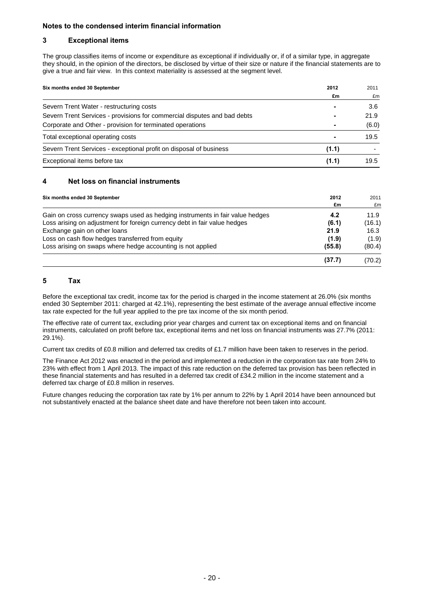### **3 Exceptional items**

The group classifies items of income or expenditure as exceptional if individually or, if of a similar type, in aggregate they should, in the opinion of the directors, be disclosed by virtue of their size or nature if the financial statements are to give a true and fair view. In this context materiality is assessed at the segment level.

| Six months ended 30 September                                            | 2012  | 2011  |
|--------------------------------------------------------------------------|-------|-------|
|                                                                          | £m    | £m    |
| Severn Trent Water - restructuring costs                                 |       | 3.6   |
| Severn Trent Services - provisions for commercial disputes and bad debts | ٠     | 21.9  |
| Corporate and Other - provision for terminated operations                | ۰     | (6.0) |
| Total exceptional operating costs                                        |       | 19.5  |
| Severn Trent Services - exceptional profit on disposal of business       | (1.1) |       |
| Exceptional items before tax                                             | (1.1) | 19.5  |
|                                                                          |       |       |

### **4 Net loss on financial instruments**

| Six months ended 30 September                                                 | 2012<br>£m | 2011<br>£m |
|-------------------------------------------------------------------------------|------------|------------|
| Gain on cross currency swaps used as hedging instruments in fair value hedges | 4.2        | 11.9       |
| Loss arising on adjustment for foreign currency debt in fair value hedges     | (6.1)      | (16.1)     |
| Exchange gain on other loans                                                  | 21.9       | 16.3       |
| Loss on cash flow hedges transferred from equity                              | (1.9)      | (1.9)      |
| Loss arising on swaps where hedge accounting is not applied                   | (55.8)     | (80.4)     |
|                                                                               | (37.7)     | (70.2)     |

### **5 Tax**

Before the exceptional tax credit, income tax for the period is charged in the income statement at 26.0% (six months ended 30 September 2011: charged at 42.1%), representing the best estimate of the average annual effective income tax rate expected for the full year applied to the pre tax income of the six month period.

The effective rate of current tax, excluding prior year charges and current tax on exceptional items and on financial instruments, calculated on profit before tax, exceptional items and net loss on financial instruments was 27.7% (2011: 29.1%).

Current tax credits of £0.8 million and deferred tax credits of £1.7 million have been taken to reserves in the period.

The Finance Act 2012 was enacted in the period and implemented a reduction in the corporation tax rate from 24% to 23% with effect from 1 April 2013. The impact of this rate reduction on the deferred tax provision has been reflected in these financial statements and has resulted in a deferred tax credit of £34.2 million in the income statement and a deferred tax charge of £0.8 million in reserves.

Future changes reducing the corporation tax rate by 1% per annum to 22% by 1 April 2014 have been announced but not substantively enacted at the balance sheet date and have therefore not been taken into account.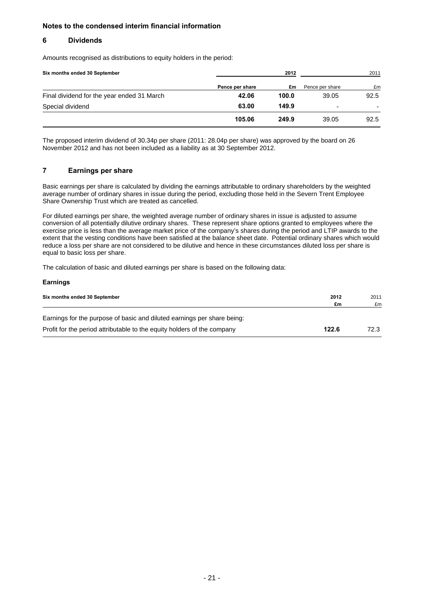#### **6 Dividends**

Amounts recognised as distributions to equity holders in the period:

| Six months ended 30 September              | 2012            |       |                 |      |  | 2011 |
|--------------------------------------------|-----------------|-------|-----------------|------|--|------|
|                                            | Pence per share | £m    | Pence per share | £m   |  |      |
| Final dividend for the year ended 31 March | 42.06           | 100.0 | 39.05           | 92.5 |  |      |
| Special dividend                           | 63.00           | 149.9 | -               |      |  |      |
|                                            | 105.06          | 249.9 | 39.05           | 92.5 |  |      |

The proposed interim dividend of 30.34p per share (2011: 28.04p per share) was approved by the board on 26 November 2012 and has not been included as a liability as at 30 September 2012.

### **7 Earnings per share**

Basic earnings per share is calculated by dividing the earnings attributable to ordinary shareholders by the weighted average number of ordinary shares in issue during the period, excluding those held in the Severn Trent Employee Share Ownership Trust which are treated as cancelled.

For diluted earnings per share, the weighted average number of ordinary shares in issue is adjusted to assume conversion of all potentially dilutive ordinary shares. These represent share options granted to employees where the exercise price is less than the average market price of the company's shares during the period and LTIP awards to the extent that the vesting conditions have been satisfied at the balance sheet date. Potential ordinary shares which would reduce a loss per share are not considered to be dilutive and hence in these circumstances diluted loss per share is equal to basic loss per share.

The calculation of basic and diluted earnings per share is based on the following data:

| Earnings                                                                |       |      |
|-------------------------------------------------------------------------|-------|------|
| Six months ended 30 September                                           | 2012  | 2011 |
|                                                                         | £m    | £m   |
| Earnings for the purpose of basic and diluted earnings per share being: |       |      |
| Profit for the period attributable to the equity holders of the company | 122.6 | 72.3 |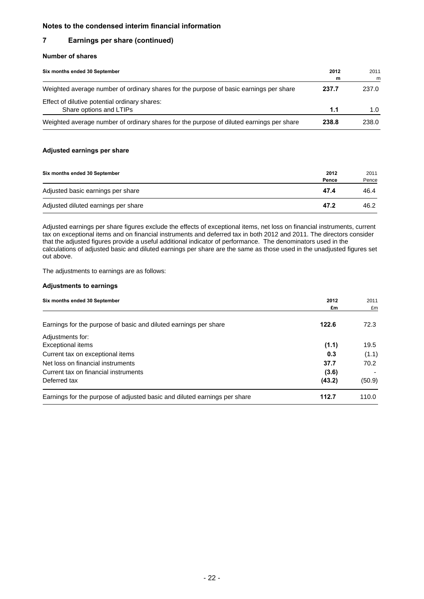### **7 Earnings per share (continued)**

#### **Number of shares**

| Six months ended 30 September                                                            |       | 2011  |
|------------------------------------------------------------------------------------------|-------|-------|
|                                                                                          | m     | m     |
| Weighted average number of ordinary shares for the purpose of basic earnings per share   | 237.7 | 237.0 |
| Effect of dilutive potential ordinary shares:                                            |       |       |
| Share options and LTIPs                                                                  | 1.1   | 1.0   |
| Weighted average number of ordinary shares for the purpose of diluted earnings per share | 238.8 | 238.0 |

#### **Adjusted earnings per share**

| Six months ended 30 September       | 2012<br>Pence | 2011<br>Pence |
|-------------------------------------|---------------|---------------|
| Adjusted basic earnings per share   | 47.4          | 46.4          |
| Adjusted diluted earnings per share | 47.2          | 46.2          |

Adjusted earnings per share figures exclude the effects of exceptional items, net loss on financial instruments, current tax on exceptional items and on financial instruments and deferred tax in both 2012 and 2011. The directors consider that the adjusted figures provide a useful additional indicator of performance. The denominators used in the calculations of adjusted basic and diluted earnings per share are the same as those used in the unadjusted figures set out above.

The adjustments to earnings are as follows:

#### **Adjustments to earnings**

| Six months ended 30 September                                             | 2012   | 2011   |
|---------------------------------------------------------------------------|--------|--------|
|                                                                           | £m     | £m     |
| Earnings for the purpose of basic and diluted earnings per share          | 122.6  | 72.3   |
| Adjustments for:                                                          |        |        |
| <b>Exceptional items</b>                                                  | (1.1)  | 19.5   |
| Current tax on exceptional items                                          | 0.3    | (1.1)  |
| Net loss on financial instruments                                         | 37.7   | 70.2   |
| Current tax on financial instruments                                      | (3.6)  |        |
| Deferred tax                                                              | (43.2) | (50.9) |
| Earnings for the purpose of adjusted basic and diluted earnings per share | 112.7  | 110.0  |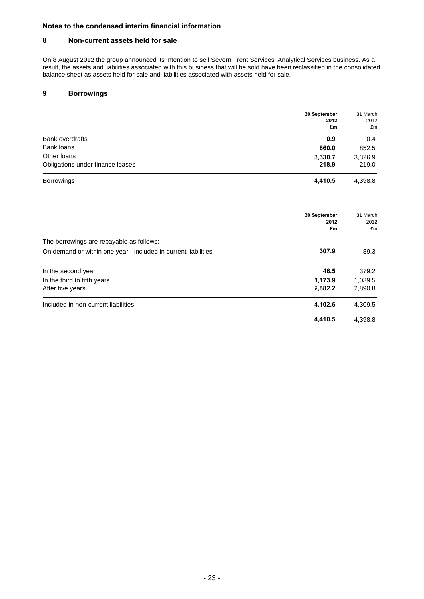### **8 Non-current assets held for sale**

On 8 August 2012 the group announced its intention to sell Severn Trent Services' Analytical Services business. As a result, the assets and liabilities associated with this business that will be sold have been reclassified in the consolidated balance sheet as assets held for sale and liabilities associated with assets held for sale.

### **9 Borrowings**

|                                  | 30 September<br>2012<br>£m | 31 March<br>2012<br>£m |
|----------------------------------|----------------------------|------------------------|
| <b>Bank overdrafts</b>           | 0.9                        | 0.4                    |
| Bank loans                       | 860.0                      | 852.5                  |
| Other loans                      | 3,330.7                    | 3,326.9                |
| Obligations under finance leases | 218.9                      | 219.0                  |
| <b>Borrowings</b>                | 4,410.5                    | 4,398.8                |

|                                                                | 30 September<br>2012<br>£m | 31 March<br>2012<br>£m |
|----------------------------------------------------------------|----------------------------|------------------------|
| The borrowings are repayable as follows:                       |                            |                        |
| On demand or within one year - included in current liabilities | 307.9                      | 89.3                   |
| In the second year                                             | 46.5                       | 379.2                  |
| In the third to fifth years                                    | 1,173.9                    | 1,039.5                |
| After five years                                               | 2,882.2                    | 2,890.8                |
| Included in non-current liabilities                            | 4,102.6                    | 4,309.5                |
|                                                                | 4,410.5                    | 4.398.8                |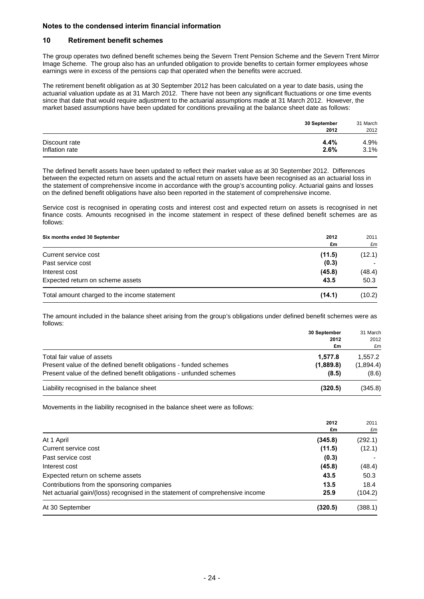#### **10 Retirement benefit schemes**

The group operates two defined benefit schemes being the Severn Trent Pension Scheme and the Severn Trent Mirror Image Scheme. The group also has an unfunded obligation to provide benefits to certain former employees whose earnings were in excess of the pensions cap that operated when the benefits were accrued.

The retirement benefit obligation as at 30 September 2012 has been calculated on a year to date basis, using the actuarial valuation update as at 31 March 2012. There have not been any significant fluctuations or one time events since that date that would require adjustment to the actuarial assumptions made at 31 March 2012. However, the market based assumptions have been updated for conditions prevailing at the balance sheet date as follows:

| 30 September                                    | 31 March     |
|-------------------------------------------------|--------------|
| 2012                                            | 2012         |
| 4.4%<br>Discount rate<br>2.6%<br>Inflation rate | 4.9%<br>3.1% |

The defined benefit assets have been updated to reflect their market value as at 30 September 2012. Differences between the expected return on assets and the actual return on assets have been recognised as an actuarial loss in the statement of comprehensive income in accordance with the group's accounting policy. Actuarial gains and losses on the defined benefit obligations have also been reported in the statement of comprehensive income.

Service cost is recognised in operating costs and interest cost and expected return on assets is recognised in net finance costs. Amounts recognised in the income statement in respect of these defined benefit schemes are as follows:

| Six months ended 30 September                | 2012<br>£m | 2011<br>£m |
|----------------------------------------------|------------|------------|
| Current service cost                         | (11.5)     | (12.1)     |
| Past service cost                            | (0.3)      |            |
| Interest cost                                | (45.8)     | (48.4)     |
| Expected return on scheme assets             | 43.5       | 50.3       |
| Total amount charged to the income statement | (14.1)     | (10.2)     |

The amount included in the balance sheet arising from the group's obligations under defined benefit schemes were as follows:

|                                                                     | 30 September | 31 March  |  |
|---------------------------------------------------------------------|--------------|-----------|--|
|                                                                     | 2012         | 2012      |  |
|                                                                     | £m           | £m        |  |
| Total fair value of assets                                          | 1.577.8      | 1.557.2   |  |
| Present value of the defined benefit obligations - funded schemes   | (1,889.8)    | (1,894.4) |  |
| Present value of the defined benefit obligations - unfunded schemes | (8.5)        | (8.6)     |  |
| Liability recognised in the balance sheet                           | (320.5)      | (345.8)   |  |

Movements in the liability recognised in the balance sheet were as follows:

|                                                                               | 2012    | 2011    |
|-------------------------------------------------------------------------------|---------|---------|
|                                                                               | £m      | £m      |
| At 1 April                                                                    | (345.8) | (292.1) |
| Current service cost                                                          | (11.5)  | (12.1)  |
| Past service cost                                                             | (0.3)   |         |
| Interest cost                                                                 | (45.8)  | (48.4)  |
| Expected return on scheme assets                                              | 43.5    | 50.3    |
| Contributions from the sponsoring companies                                   | 13.5    | 18.4    |
| Net actuarial gain/(loss) recognised in the statement of comprehensive income | 25.9    | (104.2) |
| At 30 September                                                               | (320.5) | (388.1) |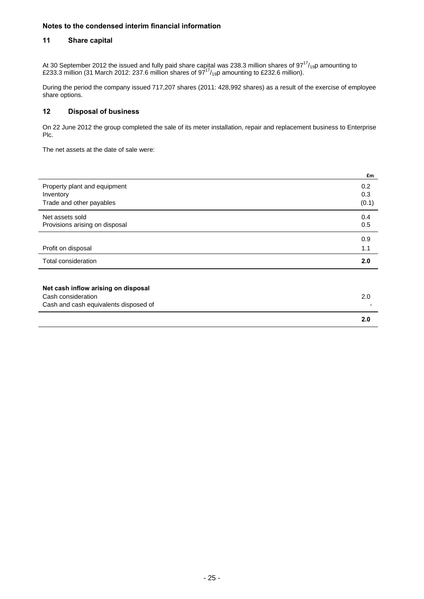### **11 Share capital**

At 30 September 2012 the issued and fully paid share capital was 238.3 million shares of  $97^{17}/_{19}$ p amounting to £233.3 million (31 March 2012: 237.6 million shares of  $97^{17}/_{19}$ p amounting to £232.6 million).

During the period the company issued 717,207 shares (2011: 428,992 shares) as a result of the exercise of employee share options.

### **12 Disposal of business**

On 22 June 2012 the group completed the sale of its meter installation, repair and replacement business to Enterprise Plc.

The net assets at the date of sale were:

|                                                   | £m         |
|---------------------------------------------------|------------|
| Property plant and equipment<br>Inventory         | 0.2<br>0.3 |
| Trade and other payables                          | (0.1)      |
| Net assets sold<br>Provisions arising on disposal | 0.4<br>0.5 |
|                                                   | 0.9        |
| Profit on disposal                                | 1.1        |
| Total consideration                               | 2.0        |
|                                                   |            |
| Net cash inflow arising on disposal               |            |

| Cash consideration<br>Cash and cash equivalents disposed of | 2.0<br>$\sim$ |
|-------------------------------------------------------------|---------------|
|                                                             | 2.0           |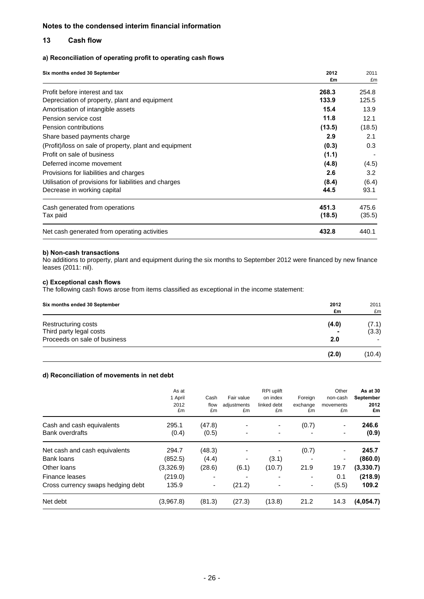### **13 Cash flow**

### **a) Reconciliation of operating profit to operating cash flows**

| Six months ended 30 September                          | 2012   | 2011   |
|--------------------------------------------------------|--------|--------|
|                                                        | £m     | £m     |
| Profit before interest and tax                         | 268.3  | 254.8  |
| Depreciation of property, plant and equipment          | 133.9  | 125.5  |
| Amortisation of intangible assets                      | 15.4   | 13.9   |
| Pension service cost                                   | 11.8   | 12.1   |
| Pension contributions                                  | (13.5) | (18.5) |
| Share based payments charge                            | 2.9    | 2.1    |
| (Profit)/loss on sale of property, plant and equipment | (0.3)  | 0.3    |
| Profit on sale of business                             | (1.1)  |        |
| Deferred income movement                               | (4.8)  | (4.5)  |
| Provisions for liabilities and charges                 | 2.6    | 3.2    |
| Utilisation of provisions for liabilities and charges  | (8.4)  | (6.4)  |
| Decrease in working capital                            | 44.5   | 93.1   |
| Cash generated from operations                         | 451.3  | 475.6  |
| Tax paid                                               | (18.5) | (35.5) |
| Net cash generated from operating activities           | 432.8  | 440.1  |

### **b) Non-cash transactions**

No additions to property, plant and equipment during the six months to September 2012 were financed by new finance leases (2011: nil).

### **c) Exceptional cash flows**

The following cash flows arose from items classified as exceptional in the income statement:

| Six months ended 30 September | 2012<br>£m | 2011<br>£m |
|-------------------------------|------------|------------|
| Restructuring costs           | (4.0)      | (7.1)      |
| Third party legal costs       |            | (3.3)      |
| Proceeds on sale of business  | 2.0        |            |
|                               | (2.0)      | (10.4)     |

#### **d) Reconciliation of movements in net debt**

|                                                     | As at<br>1 April<br>2012<br>£m | Cash<br>flow<br>£m | Fair value<br>adjustments<br>£m | RPI uplift<br>on index<br>linked debt<br>£m | Foreign<br>exchange<br>£m | Other<br>non-cash<br>movements<br>£m | As at 30<br>September<br>2012<br>£m |
|-----------------------------------------------------|--------------------------------|--------------------|---------------------------------|---------------------------------------------|---------------------------|--------------------------------------|-------------------------------------|
| Cash and cash equivalents<br><b>Bank overdrafts</b> | 295.1<br>(0.4)                 | (47.8)<br>(0.5)    | $\overline{\phantom{0}}$        | ٠<br>٠                                      | (0.7)<br>-                | ٠                                    | 246.6<br>(0.9)                      |
| Net cash and cash equivalents<br>Bank loans         | 294.7<br>(852.5)               | (48.3)<br>(4.4)    | $\blacksquare$                  | (3.1)                                       | (0.7)                     | ٠                                    | 245.7<br>(860.0)                    |
| Other loans                                         | (3,326.9)                      | (28.6)             | (6.1)                           | (10.7)                                      | 21.9                      | 19.7                                 | (3,330.7)                           |
| Finance leases                                      | (219.0)                        | ۰                  |                                 | ٠                                           | ۰                         | 0.1                                  | (218.9)                             |
| Cross currency swaps hedging debt                   | 135.9                          | ۰                  | (21.2)                          | ٠                                           | ٠                         | (5.5)                                | 109.2                               |
| Net debt                                            | (3,967.8)                      | (81.3)             | (27.3)                          | (13.8)                                      | 21.2                      | 14.3                                 | (4,054.7)                           |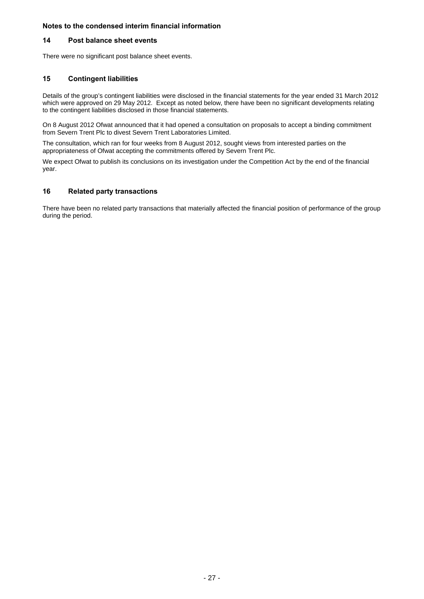### **14 Post balance sheet events**

There were no significant post balance sheet events.

#### **15 Contingent liabilities**

Details of the group's contingent liabilities were disclosed in the financial statements for the year ended 31 March 2012 which were approved on 29 May 2012. Except as noted below, there have been no significant developments relating to the contingent liabilities disclosed in those financial statements.

On 8 August 2012 Ofwat announced that it had opened a consultation on proposals to accept a binding commitment from Severn Trent Plc to divest Severn Trent Laboratories Limited.

The consultation, which ran for four weeks from 8 August 2012, sought views from interested parties on the appropriateness of Ofwat accepting the commitments offered by Severn Trent Plc.

We expect Ofwat to publish its conclusions on its investigation under the Competition Act by the end of the financial year.

### **16 Related party transactions**

There have been no related party transactions that materially affected the financial position of performance of the group during the period.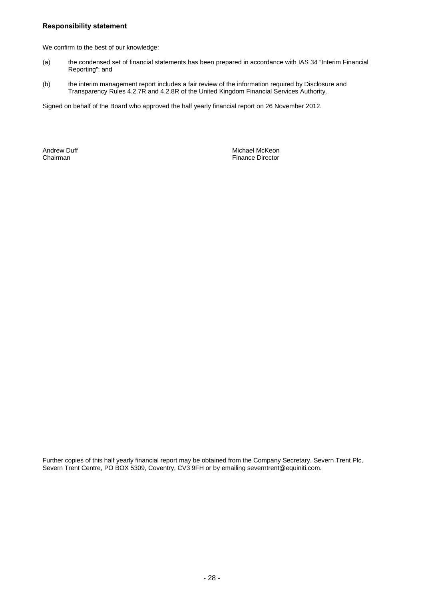#### **Responsibility statement**

We confirm to the best of our knowledge:

- (a) the condensed set of financial statements has been prepared in accordance with IAS 34 "Interim Financial Reporting"; and
- (b) the interim management report includes a fair review of the information required by Disclosure and Transparency Rules 4.2.7R and 4.2.8R of the United Kingdom Financial Services Authority.

Signed on behalf of the Board who approved the half yearly financial report on 26 November 2012.

Andrew Duff **Michael McKeon Chairman Finance Director Finance Director** 

Further copies of this half yearly financial report may be obtained from the Company Secretary, Severn Trent Plc, Severn Trent Centre, PO BOX 5309, Coventry, CV3 9FH or by emailing severntrent@equiniti.com.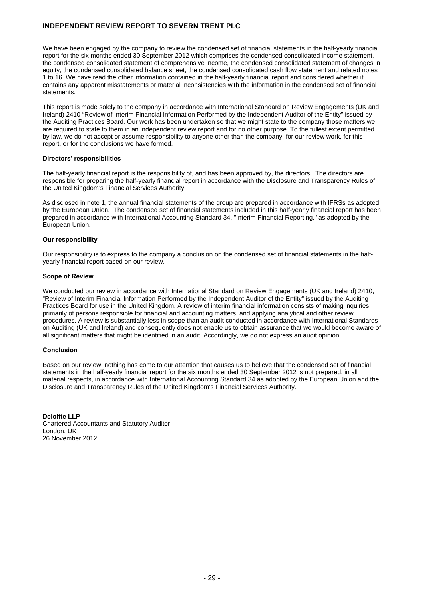### **INDEPENDENT REVIEW REPORT TO SEVERN TRENT PLC**

We have been engaged by the company to review the condensed set of financial statements in the half-yearly financial report for the six months ended 30 September 2012 which comprises the condensed consolidated income statement, the condensed consolidated statement of comprehensive income, the condensed consolidated statement of changes in equity, the condensed consolidated balance sheet, the condensed consolidated cash flow statement and related notes 1 to 16. We have read the other information contained in the half-yearly financial report and considered whether it contains any apparent misstatements or material inconsistencies with the information in the condensed set of financial statements.

This report is made solely to the company in accordance with International Standard on Review Engagements (UK and Ireland) 2410 "Review of Interim Financial Information Performed by the Independent Auditor of the Entity" issued by the Auditing Practices Board. Our work has been undertaken so that we might state to the company those matters we are required to state to them in an independent review report and for no other purpose. To the fullest extent permitted by law, we do not accept or assume responsibility to anyone other than the company, for our review work, for this report, or for the conclusions we have formed.

#### **Directors' responsibilities**

The half-yearly financial report is the responsibility of, and has been approved by, the directors. The directors are responsible for preparing the half-yearly financial report in accordance with the Disclosure and Transparency Rules of the United Kingdom's Financial Services Authority.

As disclosed in note 1, the annual financial statements of the group are prepared in accordance with IFRSs as adopted by the European Union. The condensed set of financial statements included in this half-yearly financial report has been prepared in accordance with International Accounting Standard 34, "Interim Financial Reporting," as adopted by the European Union.

#### **Our responsibility**

Our responsibility is to express to the company a conclusion on the condensed set of financial statements in the halfyearly financial report based on our review.

#### **Scope of Review**

We conducted our review in accordance with International Standard on Review Engagements (UK and Ireland) 2410, "Review of Interim Financial Information Performed by the Independent Auditor of the Entity" issued by the Auditing Practices Board for use in the United Kingdom. A review of interim financial information consists of making inquiries, primarily of persons responsible for financial and accounting matters, and applying analytical and other review procedures. A review is substantially less in scope than an audit conducted in accordance with International Standards on Auditing (UK and Ireland) and consequently does not enable us to obtain assurance that we would become aware of all significant matters that might be identified in an audit. Accordingly, we do not express an audit opinion.

#### **Conclusion**

Based on our review, nothing has come to our attention that causes us to believe that the condensed set of financial statements in the half-yearly financial report for the six months ended 30 September 2012 is not prepared, in all material respects, in accordance with International Accounting Standard 34 as adopted by the European Union and the Disclosure and Transparency Rules of the United Kingdom's Financial Services Authority.

**Deloitte LLP**  Chartered Accountants and Statutory Auditor London, UK 26 November 2012